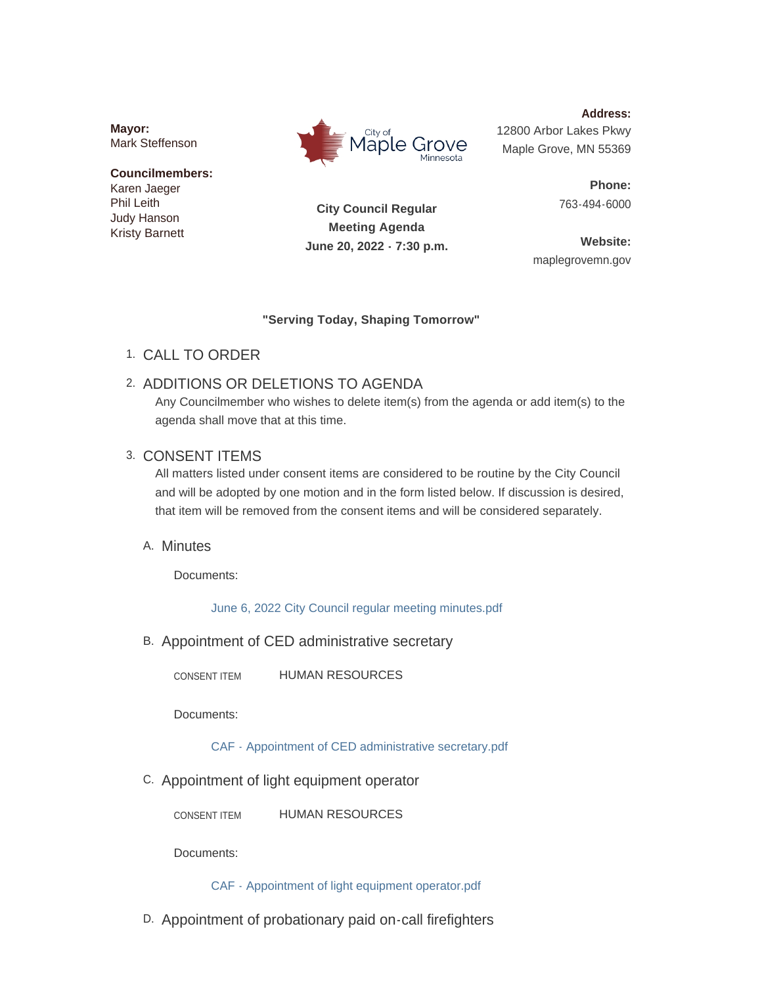**Mayor:** Mark Steffenson

#### **Councilmembers:** Karen Jaeger Phil Leith Judy Hanson Kristy Barnett



**Address:** 12800 Arbor Lakes Pkwy Maple Grove, MN 55369

> **Phone:** 763-494-6000

**City Council Regular Meeting Agenda June 20, 2022 - 7:30 p.m.**

**Website:** maplegrovemn.gov

### **"Serving Today, Shaping Tomorrow"**

CALL TO ORDER 1.

# 2. ADDITIONS OR DELETIONS TO AGENDA

Any Councilmember who wishes to delete item(s) from the agenda or add item(s) to the agenda shall move that at this time.

## 3. CONSENT ITEMS

All matters listed under consent items are considered to be routine by the City Council and will be adopted by one motion and in the form listed below. If discussion is desired, that item will be removed from the consent items and will be considered separately.

## A. Minutes

Documents:

[June 6, 2022 City Council regular meeting minutes.pdf](https://www.maplegrovemn.gov/AgendaCenter/ViewFile/Item/2118?fileID=7404)

B. Appointment of CED administrative secretary

HUMAN RESOURCES CONSENT ITEM

Documents:

[CAF - Appointment of CED administrative secretary.pdf](https://www.maplegrovemn.gov/AgendaCenter/ViewFile/Item/2087?fileID=7435)

C. Appointment of light equipment operator

HUMAN RESOURCES CONSENT ITEM

Documents:

[CAF - Appointment of light equipment operator.pdf](https://www.maplegrovemn.gov/AgendaCenter/ViewFile/Item/2088?fileID=7436)

D. Appointment of probationary paid on-call firefighters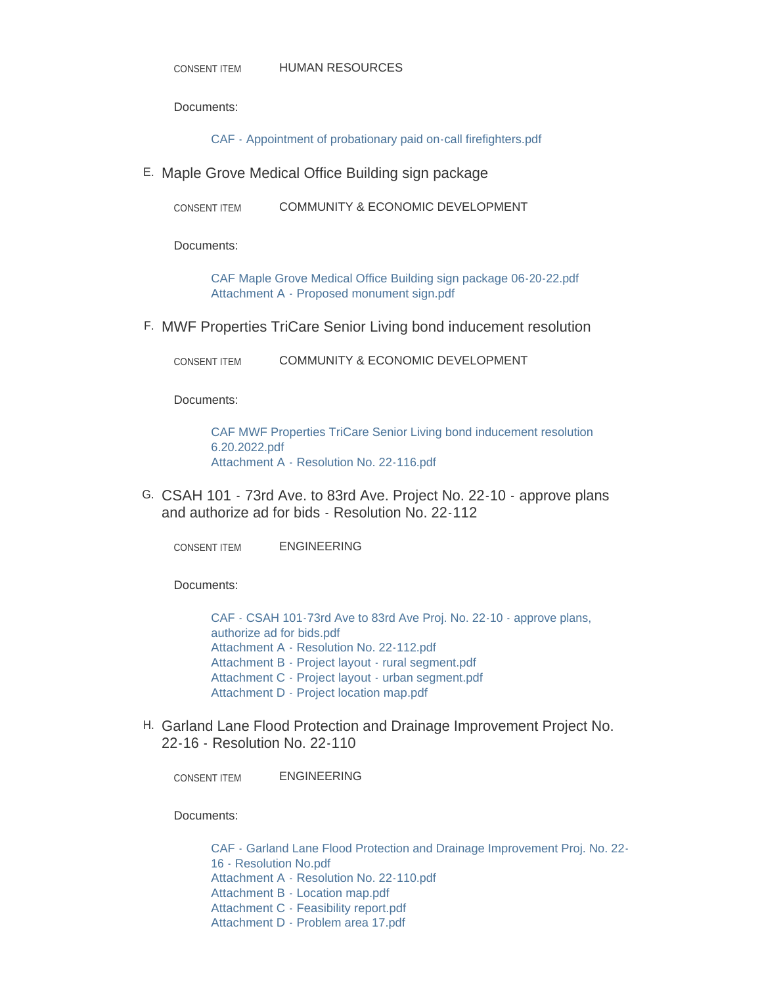Documents:

[CAF - Appointment of probationary paid on-call firefighters.pdf](https://www.maplegrovemn.gov/AgendaCenter/ViewFile/Item/2089?fileID=7450)

Maple Grove Medical Office Building sign package E.

COMMUNITY & ECONOMIC DEVELOPMENT CONSENT ITEM

Documents:

[CAF Maple Grove Medical Office Building sign package 06-20-22.pdf](https://www.maplegrovemn.gov/AgendaCenter/ViewFile/Item/2123?fileID=7408) [Attachment A - Proposed monument sign.pdf](https://www.maplegrovemn.gov/AgendaCenter/ViewFile/Item/2123?fileID=7409)

MWF Properties TriCare Senior Living bond inducement resolution F.

COMMUNITY & ECONOMIC DEVELOPMENT CONSENT ITEM

Documents:

[CAF MWF Properties TriCare Senior Living bond inducement resolution](https://www.maplegrovemn.gov/AgendaCenter/ViewFile/Item/2146?fileID=7422)  6.20.2022.pdf [Attachment A - Resolution No. 22-116.pdf](https://www.maplegrovemn.gov/AgendaCenter/ViewFile/Item/2146?fileID=7421)

G. CSAH 101 - 73rd Ave. to 83rd Ave. Project No. 22-10 - approve plans and authorize ad for bids - Resolution No. 22-112

ENGINEERING CONSENT ITEM

Documents:

[CAF - CSAH 101-73rd Ave to 83rd Ave Proj. No. 22-10 - approve plans,](https://www.maplegrovemn.gov/AgendaCenter/ViewFile/Item/2156?fileID=7462)  authorize ad for bids.pdf [Attachment A - Resolution No. 22-112.pdf](https://www.maplegrovemn.gov/AgendaCenter/ViewFile/Item/2156?fileID=7466) [Attachment B - Project layout - rural segment.pdf](https://www.maplegrovemn.gov/AgendaCenter/ViewFile/Item/2156?fileID=7463) [Attachment C - Project layout - urban segment.pdf](https://www.maplegrovemn.gov/AgendaCenter/ViewFile/Item/2156?fileID=7464) [Attachment D - Project location map.pdf](https://www.maplegrovemn.gov/AgendaCenter/ViewFile/Item/2156?fileID=7465)

Garland Lane Flood Protection and Drainage Improvement Project No. H. 22-16 - Resolution No. 22-110

ENGINEERING CONSENT ITEM

Documents:

[CAF - Garland Lane Flood Protection and Drainage Improvement Proj. No. 22-](https://www.maplegrovemn.gov/AgendaCenter/ViewFile/Item/2160?fileID=7482) 16 - Resolution No.pdf [Attachment A - Resolution No. 22-110.pdf](https://www.maplegrovemn.gov/AgendaCenter/ViewFile/Item/2160?fileID=7485) [Attachment B - Location map.pdf](https://www.maplegrovemn.gov/AgendaCenter/ViewFile/Item/2160?fileID=7486) [Attachment C - Feasibility report.pdf](https://www.maplegrovemn.gov/AgendaCenter/ViewFile/Item/2160?fileID=7483) [Attachment D - Problem area 17.pdf](https://www.maplegrovemn.gov/AgendaCenter/ViewFile/Item/2160?fileID=7484)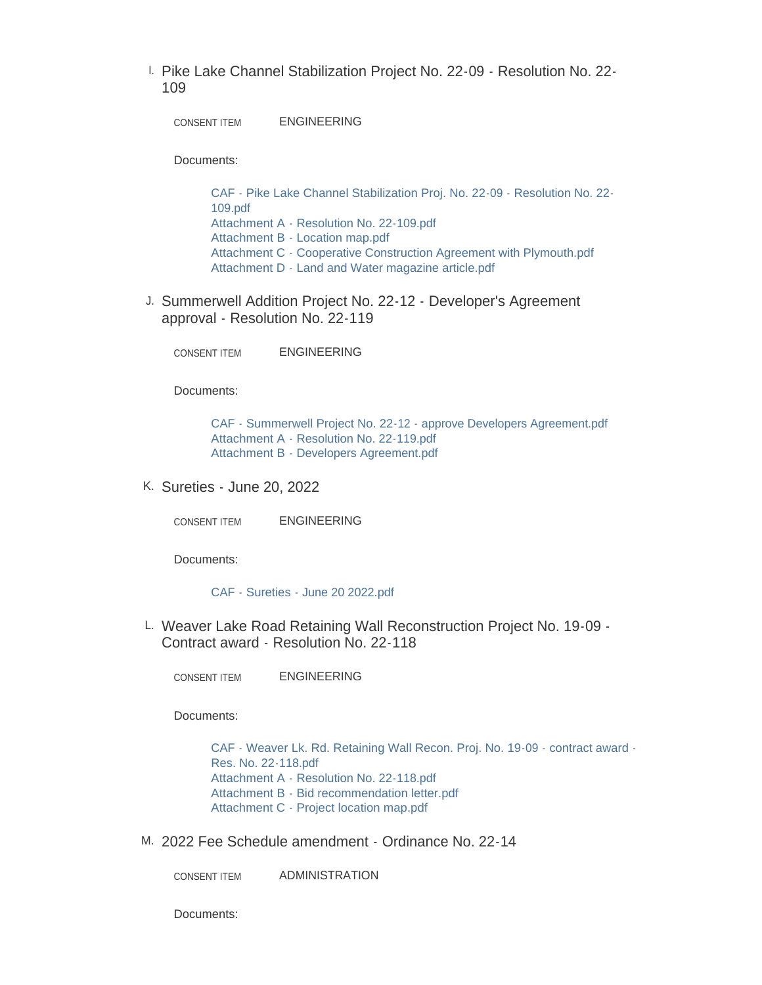Pike Lake Channel Stabilization Project No. 22-09 - Resolution No. 22- I. 109

ENGINEERING CONSENT ITEM

Documents:

[CAF - Pike Lake Channel Stabilization Proj. No. 22-09 - Resolution No. 22-](https://www.maplegrovemn.gov/AgendaCenter/ViewFile/Item/2159?fileID=7491) 109.pdf [Attachment A - Resolution No. 22-109.pdf](https://www.maplegrovemn.gov/AgendaCenter/ViewFile/Item/2159?fileID=7481) [Attachment B - Location map.pdf](https://www.maplegrovemn.gov/AgendaCenter/ViewFile/Item/2159?fileID=7478) [Attachment C - Cooperative Construction Agreement with Plymouth.pdf](https://www.maplegrovemn.gov/AgendaCenter/ViewFile/Item/2159?fileID=7479) [Attachment D - Land and Water magazine article.pdf](https://www.maplegrovemn.gov/AgendaCenter/ViewFile/Item/2159?fileID=7480)

J. Summerwell Addition Project No. 22-12 - Developer's Agreement approval - Resolution No. 22-119

ENGINEERING CONSENT ITEM

Documents:

[CAF - Summerwell Project No. 22-12 - approve Developers Agreement.pdf](https://www.maplegrovemn.gov/AgendaCenter/ViewFile/Item/2162?fileID=7488) [Attachment A - Resolution No. 22-119.pdf](https://www.maplegrovemn.gov/AgendaCenter/ViewFile/Item/2162?fileID=7489) [Attachment B - Developers Agreement.pdf](https://www.maplegrovemn.gov/AgendaCenter/ViewFile/Item/2162?fileID=7490)

K. Sureties - June 20, 2022

ENGINEERING CONSENT ITEM

Documents:

[CAF - Sureties - June 20 2022.pdf](https://www.maplegrovemn.gov/AgendaCenter/ViewFile/Item/2161?fileID=7487)

L. Weaver Lake Road Retaining Wall Reconstruction Project No. 19-09 -Contract award - Resolution No. 22-118

ENGINEERING CONSENT ITEM

Documents:

[CAF - Weaver Lk. Rd. Retaining Wall Recon. Proj. No. 19-09 - contract award -](https://www.maplegrovemn.gov/AgendaCenter/ViewFile/Item/2153?fileID=7451) Res. No. 22-118.pdf [Attachment A - Resolution No. 22-118.pdf](https://www.maplegrovemn.gov/AgendaCenter/ViewFile/Item/2153?fileID=7454) [Attachment B - Bid recommendation letter.pdf](https://www.maplegrovemn.gov/AgendaCenter/ViewFile/Item/2153?fileID=7452) [Attachment C - Project location map.pdf](https://www.maplegrovemn.gov/AgendaCenter/ViewFile/Item/2153?fileID=7453)

2022 Fee Schedule amendment - Ordinance No. 22-14 M.

ADMINISTRATION CONSENT ITEM

Documents: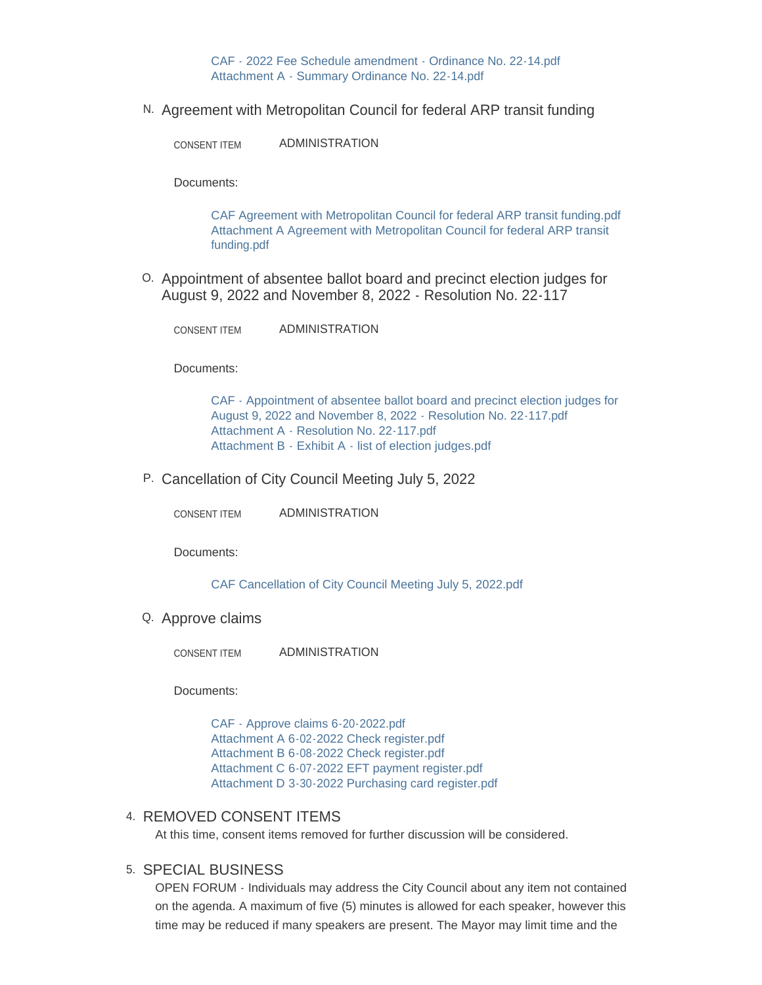[CAF - 2022 Fee Schedule amendment - Ordinance No. 22-14.pdf](https://www.maplegrovemn.gov/AgendaCenter/ViewFile/Item/2083?fileID=7518) [Attachment A - Summary Ordinance No. 22-14.pdf](https://www.maplegrovemn.gov/AgendaCenter/ViewFile/Item/2083?fileID=7398)

N. Agreement with Metropolitan Council for federal ARP transit funding

ADMINISTRATION CONSENT ITEM

Documents:

[CAF Agreement with Metropolitan Council for federal ARP transit funding.pdf](https://www.maplegrovemn.gov/AgendaCenter/ViewFile/Item/2145?fileID=7420) [Attachment A Agreement with Metropolitan Council for federal ARP transit](https://www.maplegrovemn.gov/AgendaCenter/ViewFile/Item/2145?fileID=7419)  funding.pdf

0. Appointment of absentee ballot board and precinct election judges for August 9, 2022 and November 8, 2022 - Resolution No. 22-117

ADMINISTRATION CONSENT ITEM

Documents:

[CAF - Appointment of absentee ballot board and precinct election judges for](https://www.maplegrovemn.gov/AgendaCenter/ViewFile/Item/2119?fileID=7400)  August 9, 2022 and November 8, 2022 - Resolution No. 22-117.pdf [Attachment A - Resolution No. 22-117.pdf](https://www.maplegrovemn.gov/AgendaCenter/ViewFile/Item/2119?fileID=7401) [Attachment B - Exhibit A - list of election judges.pdf](https://www.maplegrovemn.gov/AgendaCenter/ViewFile/Item/2119?fileID=7402)

P. Cancellation of City Council Meeting July 5, 2022

ADMINISTRATION CONSENT ITEM

Documents:

[CAF Cancellation of City Council Meeting July 5, 2022.pdf](https://www.maplegrovemn.gov/AgendaCenter/ViewFile/Item/1998?fileID=7091)

Q. Approve claims

ADMINISTRATION CONSENT ITEM

Documents:

[CAF - Approve claims 6-20-2022.pdf](https://www.maplegrovemn.gov/AgendaCenter/ViewFile/Item/2158?fileID=7472) [Attachment A 6-02-2022 Check register.pdf](https://www.maplegrovemn.gov/AgendaCenter/ViewFile/Item/2158?fileID=7476) [Attachment B 6-08-2022 Check register.pdf](https://www.maplegrovemn.gov/AgendaCenter/ViewFile/Item/2158?fileID=7473) [Attachment C 6-07-2022 EFT payment register.pdf](https://www.maplegrovemn.gov/AgendaCenter/ViewFile/Item/2158?fileID=7474) [Attachment D 3-30-2022 Purchasing card register.pdf](https://www.maplegrovemn.gov/AgendaCenter/ViewFile/Item/2158?fileID=7475)

#### 4. REMOVED CONSENT ITEMS

At this time, consent items removed for further discussion will be considered.

#### 5. SPECIAL BUSINESS

OPEN FORUM - Individuals may address the City Council about any item not contained on the agenda. A maximum of five (5) minutes is allowed for each speaker, however this time may be reduced if many speakers are present. The Mayor may limit time and the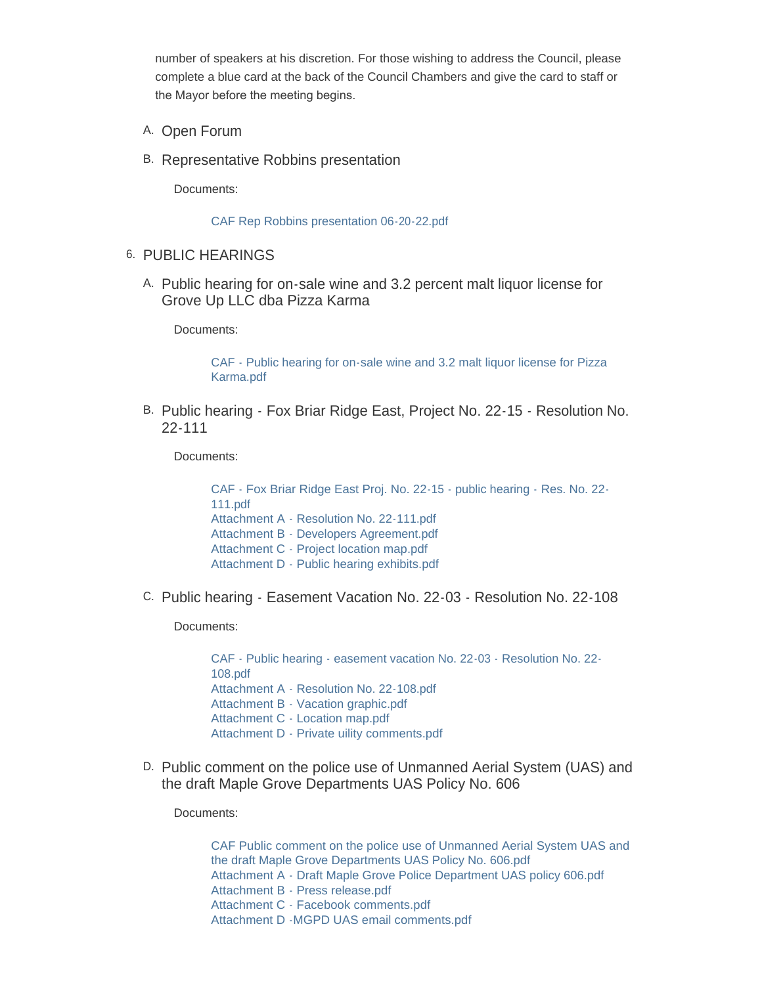number of speakers at his discretion. For those wishing to address the Council, please complete a blue card at the back of the Council Chambers and give the card to staff or the Mayor before the meeting begins.

- A. Open Forum
- B. Representative Robbins presentation

Documents:

[CAF Rep Robbins presentation 06-20-22.pdf](https://www.maplegrovemn.gov/AgendaCenter/ViewFile/Item/2086?fileID=7335)

- 6. PUBLIC HEARINGS
	- A. Public hearing for on-sale wine and 3.2 percent malt liquor license for Grove Up LLC dba Pizza Karma

Documents:

[CAF - Public hearing for on-sale wine and 3.2 malt liquor license for Pizza](https://www.maplegrovemn.gov/AgendaCenter/ViewFile/Item/2027?fileID=7403)  Karma.pdf

B. Public hearing - Fox Briar Ridge East, Project No. 22-15 - Resolution No. 22-111

Documents:

[CAF - Fox Briar Ridge East Proj. No. 22-15 - public hearing - Res. No. 22-](https://www.maplegrovemn.gov/AgendaCenter/ViewFile/Item/2154?fileID=7455) 111.pdf [Attachment A - Resolution No. 22-111.pdf](https://www.maplegrovemn.gov/AgendaCenter/ViewFile/Item/2154?fileID=7458) [Attachment B - Developers Agreement.pdf](https://www.maplegrovemn.gov/AgendaCenter/ViewFile/Item/2154?fileID=7459) [Attachment C - Project location map.pdf](https://www.maplegrovemn.gov/AgendaCenter/ViewFile/Item/2154?fileID=7456) [Attachment D - Public hearing exhibits.pdf](https://www.maplegrovemn.gov/AgendaCenter/ViewFile/Item/2154?fileID=7457)

C. Public hearing - Easement Vacation No. 22-03 - Resolution No. 22-108

Documents:

[CAF - Public hearing - easement vacation No. 22-03 - Resolution No. 22-](https://www.maplegrovemn.gov/AgendaCenter/ViewFile/Item/2157?fileID=7467) 108.pdf [Attachment A - Resolution No. 22-108.pdf](https://www.maplegrovemn.gov/AgendaCenter/ViewFile/Item/2157?fileID=7471) [Attachment B - Vacation graphic.pdf](https://www.maplegrovemn.gov/AgendaCenter/ViewFile/Item/2157?fileID=7468) [Attachment C - Location map.pdf](https://www.maplegrovemn.gov/AgendaCenter/ViewFile/Item/2157?fileID=7469) [Attachment D - Private uility comments.pdf](https://www.maplegrovemn.gov/AgendaCenter/ViewFile/Item/2157?fileID=7470)

D. Public comment on the police use of Unmanned Aerial System (UAS) and the draft Maple Grove Departments UAS Policy No. 606

Documents:

[CAF Public comment on the police use of Unmanned Aerial System UAS and](https://www.maplegrovemn.gov/AgendaCenter/ViewFile/Item/2150?fileID=7508)  the draft Maple Grove Departments UAS Policy No. 606.pdf [Attachment A - Draft Maple Grove Police Department UAS policy 606.pdf](https://www.maplegrovemn.gov/AgendaCenter/ViewFile/Item/2150?fileID=7432) [Attachment B - Press release.pdf](https://www.maplegrovemn.gov/AgendaCenter/ViewFile/Item/2150?fileID=7433) [Attachment C - Facebook comments.pdf](https://www.maplegrovemn.gov/AgendaCenter/ViewFile/Item/2150?fileID=7434) [Attachment D -MGPD UAS email comments.pdf](https://www.maplegrovemn.gov/AgendaCenter/ViewFile/Item/2150?fileID=7509)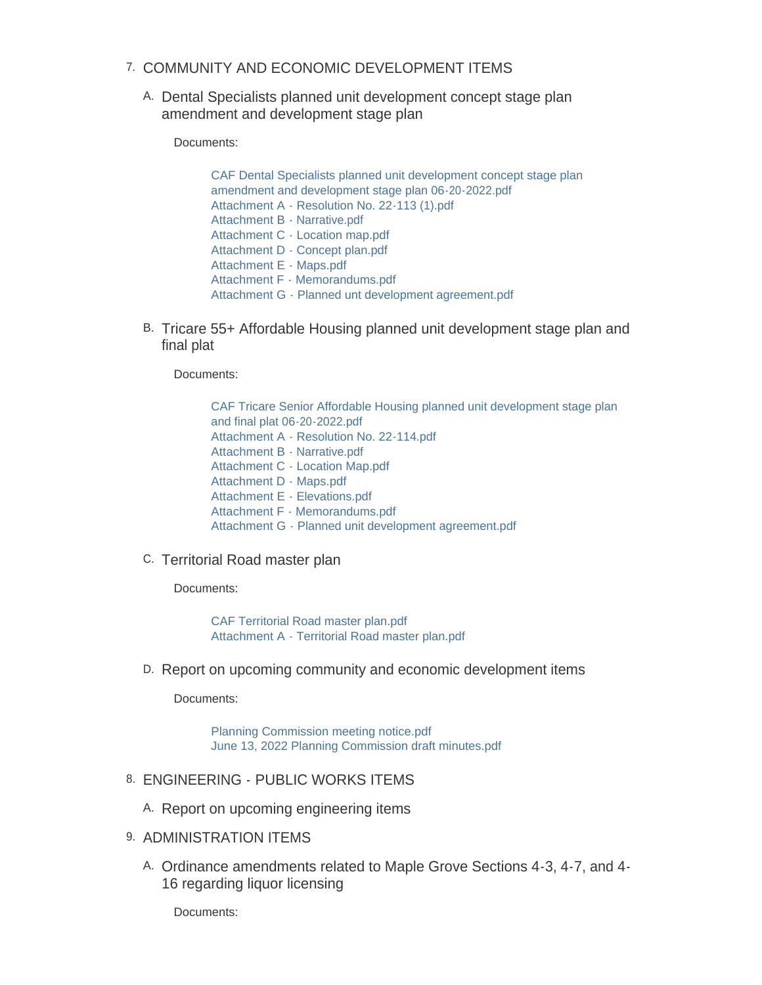- 7. COMMUNITY AND ECONOMIC DEVELOPMENT ITEMS
	- A. Dental Specialists planned unit development concept stage plan amendment and development stage plan

Documents:

[CAF Dental Specialists planned unit development concept stage plan](https://www.maplegrovemn.gov/AgendaCenter/ViewFile/Item/2125?fileID=7438)  amendment and development stage plan 06-20-2022.pdf [Attachment A - Resolution No. 22-113 \(1\).pdf](https://www.maplegrovemn.gov/AgendaCenter/ViewFile/Item/2125?fileID=7444) [Attachment B - Narrative.pdf](https://www.maplegrovemn.gov/AgendaCenter/ViewFile/Item/2125?fileID=7439) [Attachment C - Location map.pdf](https://www.maplegrovemn.gov/AgendaCenter/ViewFile/Item/2125?fileID=7440) [Attachment D - Concept plan.pdf](https://www.maplegrovemn.gov/AgendaCenter/ViewFile/Item/2125?fileID=7441) [Attachment E - Maps.pdf](https://www.maplegrovemn.gov/AgendaCenter/ViewFile/Item/2125?fileID=7442) [Attachment F - Memorandums.pdf](https://www.maplegrovemn.gov/AgendaCenter/ViewFile/Item/2125?fileID=7443) [Attachment G - Planned unt development agreement.pdf](https://www.maplegrovemn.gov/AgendaCenter/ViewFile/Item/2125?fileID=7445)

B. Tricare 55+ Affordable Housing planned unit development stage plan and final plat

Documents:

[CAF Tricare Senior Affordable Housing planned unit development stage plan](https://www.maplegrovemn.gov/AgendaCenter/ViewFile/Item/2124?fileID=7410)  and final plat 06-20-2022.pdf [Attachment A - Resolution No. 22-114.pdf](https://www.maplegrovemn.gov/AgendaCenter/ViewFile/Item/2124?fileID=7412) [Attachment B - Narrative.pdf](https://www.maplegrovemn.gov/AgendaCenter/ViewFile/Item/2124?fileID=7413) [Attachment C - Location Map.pdf](https://www.maplegrovemn.gov/AgendaCenter/ViewFile/Item/2124?fileID=7414) [Attachment D - Maps.pdf](https://www.maplegrovemn.gov/AgendaCenter/ViewFile/Item/2124?fileID=7415) [Attachment E - Elevations.pdf](https://www.maplegrovemn.gov/AgendaCenter/ViewFile/Item/2124?fileID=7416) [Attachment F - Memorandums.pdf](https://www.maplegrovemn.gov/AgendaCenter/ViewFile/Item/2124?fileID=7417) [Attachment G - Planned unit development agreement.pdf](https://www.maplegrovemn.gov/AgendaCenter/ViewFile/Item/2124?fileID=7411)

### C. Territorial Road master plan

Documents:

[CAF Territorial Road master plan.pdf](https://www.maplegrovemn.gov/AgendaCenter/ViewFile/Item/2151?fileID=7449) [Attachment A - Territorial Road master plan.pdf](https://www.maplegrovemn.gov/AgendaCenter/ViewFile/Item/2151?fileID=7447)

D. Report on upcoming community and economic development items

Documents:

[Planning Commission meeting notice.pdf](https://www.maplegrovemn.gov/AgendaCenter/ViewFile/Item/2126?fileID=7446) [June 13, 2022 Planning Commission draft minutes.pdf](https://www.maplegrovemn.gov/AgendaCenter/ViewFile/Item/2126?fileID=7500)

- 8. ENGINEERING PUBLIC WORKS ITEMS
	- A. Report on upcoming engineering items
- 9. ADMINISTRATION ITEMS
	- A. Ordinance amendments related to Maple Grove Sections 4-3, 4-7, and 4-16 regarding liquor licensing

Documents: